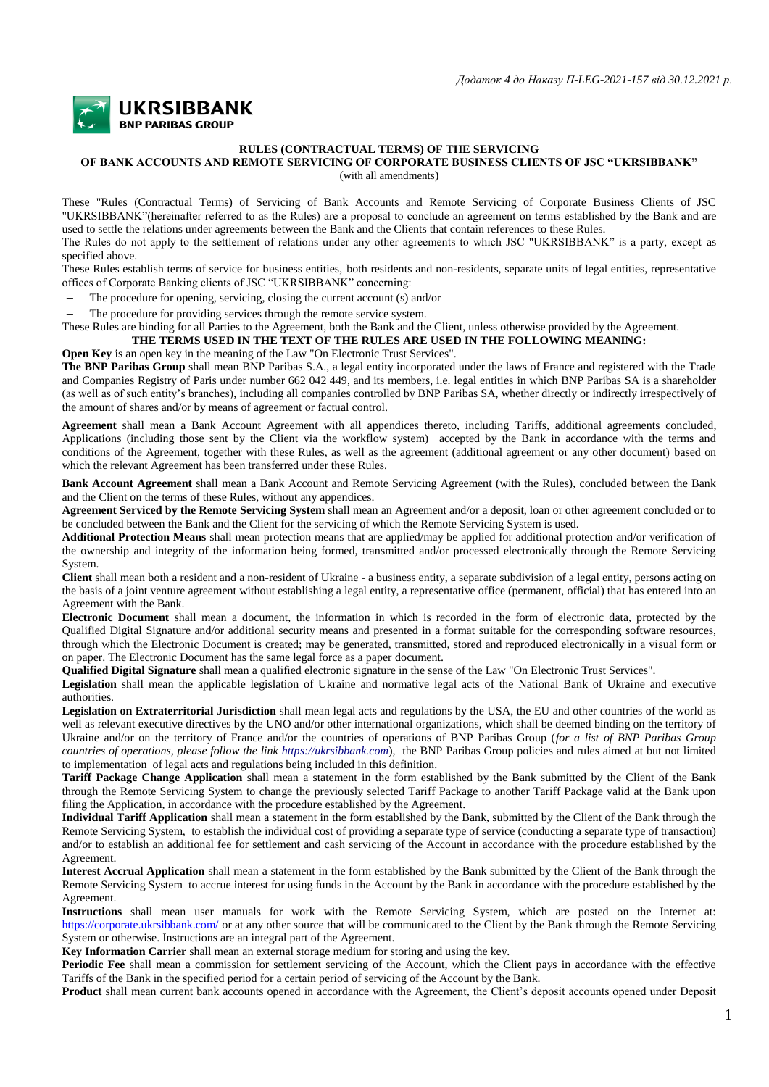

## **RULES (CONTRACTUAL TERMS) OF THE SERVICING**

## **OF BANK ACCOUNTS AND REMOTE SERVICING OF CORPORATE BUSINESS CLIENTS OF JSC "UKRSIBBANK"**

(with all amendments)

These "Rules (Contractual Terms) of Servicing of Bank Accounts and Remote Servicing of Corporate Business Clients of JSC "UKRSIBBANK"(hereinafter referred to as the Rules) are a proposal to conclude an agreement on terms established by the Bank and are used to settle the relations under agreements between the Bank and the Clients that contain references to these Rules.

The Rules do not apply to the settlement of relations under any other agreements to which JSC "UKRSIBBANK" is a party, except as specified above.

These Rules establish terms of service for business entities, both residents and non-residents, separate units of legal entities, representative offices of Corporate Banking clients of JSC "UKRSIBBANK" concerning:

The procedure for opening, servicing, closing the current account (s) and/or

The procedure for providing services through the remote service system.

These Rules are binding for all Parties to the Agreement, both the Bank and the Client, unless otherwise provided by the Agreement. **THE TERMS USED IN THE TEXT OF THE RULES ARE USED IN THE FOLLOWING MEANING:**

**Open Key** is an open key in the meaning of the Law "On Electronic Trust Services".

**The BNP Paribas Group** shall mean BNP Paribas S.A., a legal entity incorporated under the laws of France and registered with the Trade and Companies Registry of Paris under number 662 042 449, and its members, i.e. legal entities in which BNP Paribas SA is a shareholder (as well as of such entity's branches), including all companies controlled by BNP Paribas SA, whether directly or indirectly irrespectively of the amount of shares and/or by means of agreement or factual control.

**Agreement** shall mean a Bank Account Agreement with all appendices thereto, including Tariffs, additional agreements concluded, Applications (including those sent by the Client via the workflow system) accepted by the Bank in accordance with the terms and conditions of the Agreement, together with these Rules, as well as the agreement (additional agreement or any other document) based on which the relevant Agreement has been transferred under these Rules.

**Bank Account Agreement** shall mean a Bank Account and Remote Servicing Agreement (with the Rules), concluded between the Bank and the Client on the terms of these Rules, without any appendices.

**Agreement Serviced by the Remote Servicing System** shall mean an Agreement and/or a deposit, loan or other agreement concluded or to be concluded between the Bank and the Client for the servicing of which the Remote Servicing System is used.

**Additional Protection Means** shall mean protection means that are applied/may be applied for additional protection and/or verification of the ownership and integrity of the information being formed, transmitted and/or processed electronically through the Remote Servicing System.

**Client** shall mean both a resident and a non-resident of Ukraine - a business entity, a separate subdivision of a legal entity, persons acting on the basis of a joint venture agreement without establishing a legal entity, a representative office (permanent, official) that has entered into an Agreement with the Bank.

**Electronic Document** shall mean a document, the information in which is recorded in the form of electronic data, protected by the Qualified Digital Signature and/or additional security means and presented in a format suitable for the corresponding software resources, through which the Electronic Document is created; may be generated, transmitted, stored and reproduced electronically in a visual form or on paper. The Electronic Document has the same legal force as a paper document.

**Qualified Digital Signature** shall mean a qualified electronic signature in the sense of the Law "On Electronic Trust Services".

**Legislation** shall mean the applicable legislation of Ukraine and normative legal acts of the National Bank of Ukraine and executive authorities.

**Legislation on Extraterritorial Jurisdiction** shall mean legal acts and regulations by the USA, the EU and other countries of the world as well as relevant executive directives by the UNO and/or other international organizations, which shall be deemed binding on the territory of Ukraine and/or on the territory of France and/or the countries of operations of BNP Paribas Group (*for a list of BNP Paribas Group countries of operations, please follow the link [https://ukrsibbank.com](https://ukrsibbank.com/)*), the BNP Paribas Group policies and rules aimed at but not limited to implementation of legal acts and regulations being included in this definition.

**Tariff Package Change Application** shall mean a statement in the form established by the Bank submitted by the Client of the Bank through the Remote Servicing System to change the previously selected Tariff Package to another Tariff Package valid at the Bank upon filing the Application, in accordance with the procedure established by the Agreement.

**Individual Tariff Application** shall mean a statement in the form established by the Bank, submitted by the Client of the Bank through the Remote Servicing System, to establish the individual cost of providing a separate type of service (conducting a separate type of transaction) and/or to establish an additional fee for settlement and cash servicing of the Account in accordance with the procedure established by the Agreement.

**Interest Accrual Application** shall mean a statement in the form established by the Bank submitted by the Client of the Bank through the Remote Servicing System to accrue interest for using funds in the Account by the Bank in accordance with the procedure established by the Agreement.

**Instructions** shall mean user manuals for work with the Remote Servicing System, which are posted on the Internet at: <https://corporate.ukrsibbank.com/> or at any other source that will be communicated to the Client by the Bank through the Remote Servicing System or otherwise. Instructions are an integral part of the Agreement.

**Key Information Carrier** shall mean an external storage medium for storing and using the key.

**Periodic Fee** shall mean a commission for settlement servicing of the Account, which the Client pays in accordance with the effective Tariffs of the Bank in the specified period for a certain period of servicing of the Account by the Bank.

**Product** shall mean current bank accounts opened in accordance with the Agreement, the Client's deposit accounts opened under Deposit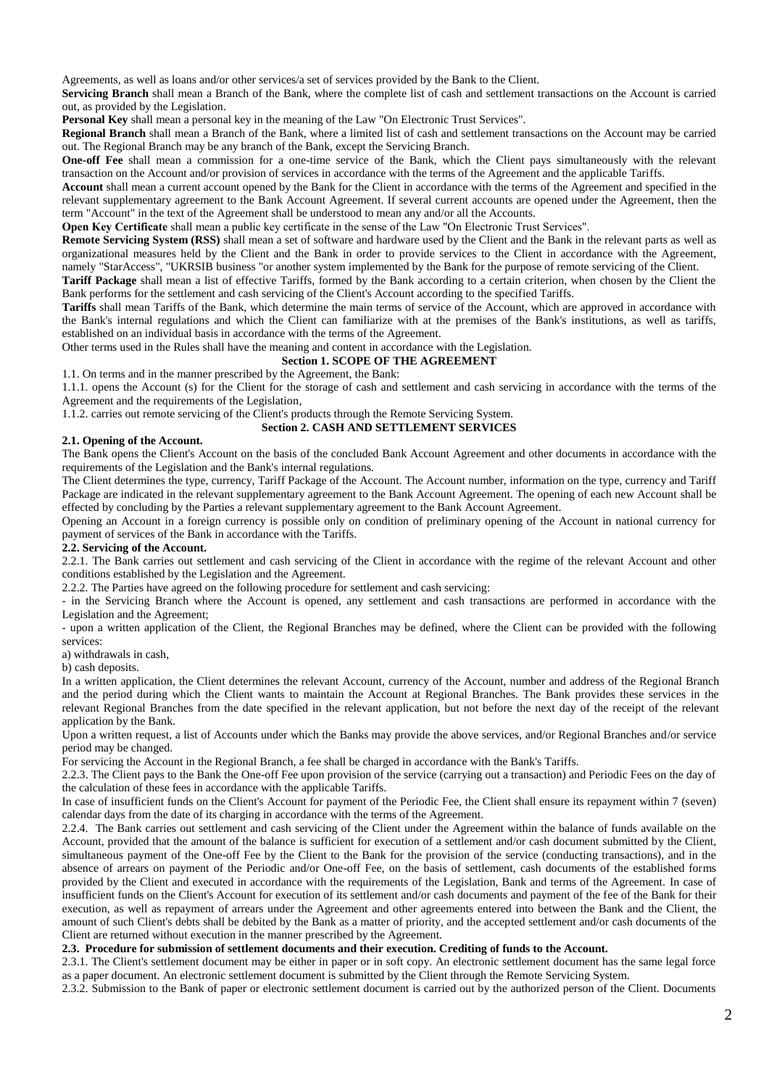Agreements, as well as loans and/or other services/a set of services provided by the Bank to the Client.

**Servicing Branch** shall mean a Branch of the Bank, where the complete list of cash and settlement transactions on the Account is carried out, as provided by the Legislation.

**Personal Key** shall mean a personal key in the meaning of the Law "On Electronic Trust Services".

**Regional Branch** shall mean a Branch of the Bank, where a limited list of cash and settlement transactions on the Account may be carried out. The Regional Branch may be any branch of the Bank, except the Servicing Branch.

**One-off Fee** shall mean a commission for a one-time service of the Bank, which the Client pays simultaneously with the relevant transaction on the Account and/or provision of services in accordance with the terms of the Agreement and the applicable Tariffs.

**Account** shall mean a current account opened by the Bank for the Client in accordance with the terms of the Agreement and specified in the relevant supplementary agreement to the Bank Account Agreement. If several current accounts are opened under the Agreement, then the term "Account" in the text of the Agreement shall be understood to mean any and/or all the Accounts.

**Open Key Certificate** shall mean a public key certificate in the sense of the Law "On Electronic Trust Services".

**Remote Servicing System (RSS)** shall mean a set of software and hardware used by the Client and the Bank in the relevant parts as well as organizational measures held by the Client and the Bank in order to provide services to the Client in accordance with the Agreement, namely "StarAccess", "UKRSIB business "or another system implemented by the Bank for the purpose of remote servicing of the Client.

**Tariff Package** shall mean a list of effective Tariffs, formed by the Bank according to a certain criterion, when chosen by the Client the Bank performs for the settlement and cash servicing of the Client's Account according to the specified Tariffs.

**Tariffs** shall mean Tariffs of the Bank, which determine the main terms of service of the Account, which are approved in accordance with the Bank's internal regulations and which the Client can familiarize with at the premises of the Bank's institutions, as well as tariffs, established on an individual basis in accordance with the terms of the Agreement.

Other terms used in the Rules shall have the meaning and content in accordance with the Legislation.

## **Section 1. SCOPE OF THE AGREEMENT**

1.1. On terms and in the manner prescribed by the Agreement, the Bank:

1.1.1. opens the Account (s) for the Client for the storage of cash and settlement and cash servicing in accordance with the terms of the Agreement and the requirements of the Legislation,

1.1.2. carries out remote servicing of the Client's products through the Remote Servicing System.

**Section 2. CASH AND SETTLEMENT SERVICES**

### **2.1. Opening of the Account.**

The Bank opens the Client's Account on the basis of the concluded Bank Account Agreement and other documents in accordance with the requirements of the Legislation and the Bank's internal regulations.

The Client determines the type, currency, Tariff Package of the Account. The Account number, information on the type, currency and Tariff Package are indicated in the relevant supplementary agreement to the Bank Account Agreement. The opening of each new Account shall be effected by concluding by the Parties a relevant supplementary agreement to the Bank Account Agreement.

Opening an Account in a foreign currency is possible only on condition of preliminary opening of the Account in national currency for payment of services of the Bank in accordance with the Tariffs.

### **2.2. Servicing of the Account.**

2.2.1. The Bank carries out settlement and cash servicing of the Client in accordance with the regime of the relevant Account and other conditions established by the Legislation and the Agreement.

2.2.2. The Parties have agreed on the following procedure for settlement and cash servicing:

- in the Servicing Branch where the Account is opened, any settlement and cash transactions are performed in accordance with the Legislation and the Agreement;

- upon a written application of the Client, the Regional Branches may be defined, where the Client can be provided with the following services:

a) withdrawals in cash,

b) cash deposits.

In a written application, the Client determines the relevant Account, currency of the Account, number and address of the Regional Branch and the period during which the Client wants to maintain the Account at Regional Branches. The Bank provides these services in the relevant Regional Branches from the date specified in the relevant application, but not before the next day of the receipt of the relevant application by the Bank.

Upon a written request, a list of Accounts under which the Banks may provide the above services, and/or Regional Branches and/or service period may be changed.

For servicing the Account in the Regional Branch, a fee shall be charged in accordance with the Bank's Tariffs.

2.2.3. The Client pays to the Bank the One-off Fee upon provision of the service (carrying out a transaction) and Periodic Fees on the day of the calculation of these fees in accordance with the applicable Tariffs.

In case of insufficient funds on the Client's Account for payment of the Periodic Fee, the Client shall ensure its repayment within 7 (seven) calendar days from the date of its charging in accordance with the terms of the Agreement.

2.2.4. The Bank carries out settlement and cash servicing of the Client under the Agreement within the balance of funds available on the Account, provided that the amount of the balance is sufficient for execution of a settlement and/or cash document submitted by the Client, simultaneous payment of the One-off Fee by the Client to the Bank for the provision of the service (conducting transactions), and in the absence of arrears on payment of the Periodic and/or One-off Fee, on the basis of settlement, cash documents of the established forms provided by the Client and executed in accordance with the requirements of the Legislation, Bank and terms of the Agreement. In case of insufficient funds on the Client's Account for execution of its settlement and/or cash documents and payment of the fee of the Bank for their execution, as well as repayment of arrears under the Agreement and other agreements entered into between the Bank and the Client, the amount of such Client's debts shall be debited by the Bank as a matter of priority, and the accepted settlement and/or cash documents of the Client are returned without execution in the manner prescribed by the Agreement.

## **2.3. Procedure for submission of settlement documents and their execution. Crediting of funds to the Account.**

2.3.1. The Client's settlement document may be either in paper or in soft copy. An electronic settlement document has the same legal force as a paper document. An electronic settlement document is submitted by the Client through the Remote Servicing System.

2.3.2. Submission to the Bank of paper or electronic settlement document is carried out by the authorized person of the Client. Documents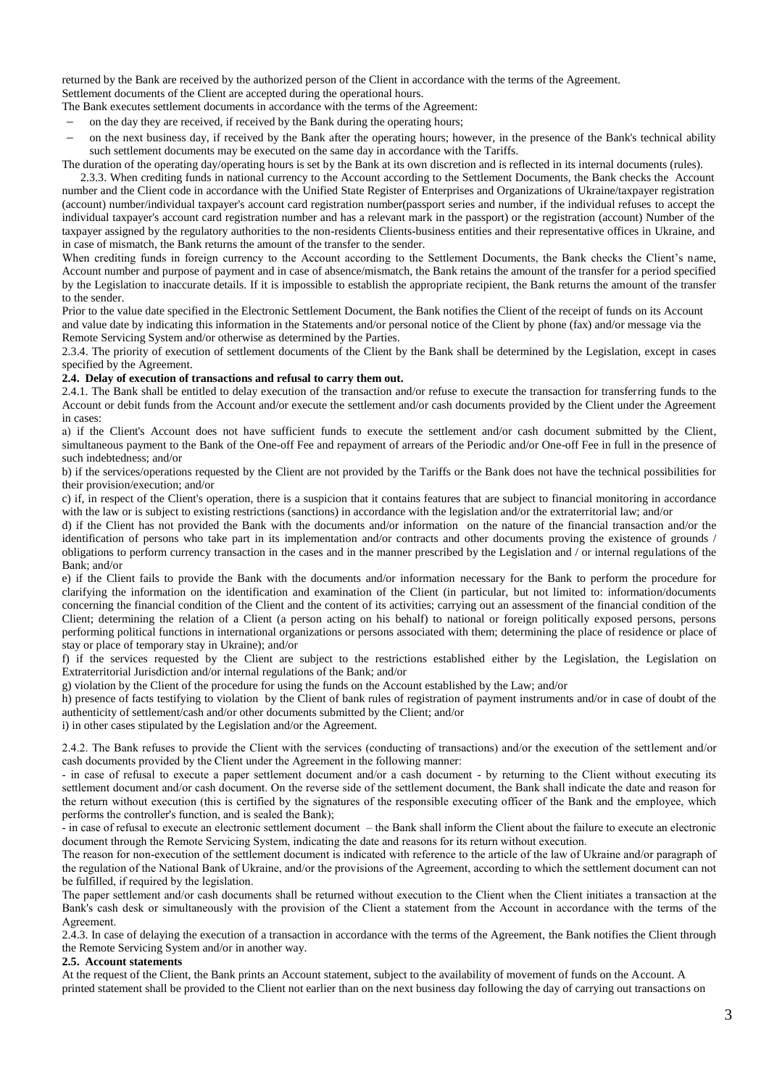returned by the Bank are received by the authorized person of the Client in accordance with the terms of the Agreement. Settlement documents of the Client are accepted during the operational hours.

- The Bank executes settlement documents in accordance with the terms of the Agreement:
- on the day they are received, if received by the Bank during the operating hours;
- on the next business day, if received by the Bank after the operating hours; however, in the presence of the Bank's technical ability such settlement documents may be executed on the same day in accordance with the Tariffs.

The duration of the operating day/operating hours is set by the Bank at its own discretion and is reflected in its internal documents (rules).

2.3.3. When crediting funds in national currency to the Account according to the Settlement Documents, the Bank checks the Account number and the Client code in accordance with the Unified State Register of Enterprises and Organizations of Ukraine/taxpayer registration (account) number/individual taxpayer's account card registration number(passport series and number, if the individual refuses to accept the individual taxpayer's account card registration number and has a relevant mark in the passport) or the registration (account) Number of the taxpayer assigned by the regulatory authorities to the non-residents Clients-business entities and their representative offices in Ukraine, and in case of mismatch, the Bank returns the amount of the transfer to the sender.

When crediting funds in foreign currency to the Account according to the Settlement Documents, the Bank checks the Client's name, Account number and purpose of payment and in case of absence/mismatch, the Bank retains the amount of the transfer for a period specified by the Legislation to inaccurate details. If it is impossible to establish the appropriate recipient, the Bank returns the amount of the transfer to the sender.

Prior to the value date specified in the Electronic Settlement Document, the Bank notifies the Client of the receipt of funds on its Account and value date by indicating this information in the Statements and/or personal notice of the Client by phone (fax) and/or message via the Remote Servicing System and/or otherwise as determined by the Parties.

2.3.4. The priority of execution of settlement documents of the Client by the Bank shall be determined by the Legislation, except in cases specified by the Agreement.

### **2.4. Delay of execution of transactions and refusal to carry them out.**

2.4.1. The Bank shall be entitled to delay execution of the transaction and/or refuse to execute the transaction for transferring funds to the Account or debit funds from the Account and/or execute the settlement and/or cash documents provided by the Client under the Agreement in cases:

а) if the Client's Account does not have sufficient funds to execute the settlement and/or cash document submitted by the Client, simultaneous payment to the Bank of the One-off Fee and repayment of arrears of the Periodic and/or One-off Fee in full in the presence of such indebtedness; and/or

b) if the services/operations requested by the Client are not provided by the Tariffs or the Bank does not have the technical possibilities for their provision/execution; and/or

c) if, in respect of the Client's operation, there is a suspicion that it contains features that are subject to financial monitoring in accordance with the law or is subject to existing restrictions (sanctions) in accordance with the legislation and/or the extraterritorial law; and/or

d) if the Client has not provided the Bank with the documents and/or information on the nature of the financial transaction and/or the identification of persons who take part in its implementation and/or contracts and other documents proving the existence of grounds / obligations to perform currency transaction in the cases and in the manner prescribed by the Legislation and / or internal regulations of the Bank; and/or

e) if the Client fails to provide the Bank with the documents and/or information necessary for the Bank to perform the procedure for clarifying the information on the identification and examination of the Client (in particular, but not limited to: information/documents concerning the financial condition of the Client and the content of its activities; carrying out an assessment of the financial condition of the Client; determining the relation of a Client (a person acting on his behalf) to national or foreign politically exposed persons, persons performing political functions in international organizations or persons associated with them; determining the place of residence or place of stay or place of temporary stay in Ukraine); and/or

f) if the services requested by the Client are subject to the restrictions established either by the Legislation, the Legislation on Extraterritorial Jurisdiction and/or internal regulations of the Bank; and/or

g) violation by the Client of the procedure for using the funds on the Account established by the Law; and/or

h) presence of facts testifying to violation by the Client of bank rules of registration of payment instruments and/or in case of doubt of the authenticity of settlement/cash and/or other documents submitted by the Client; and/or

i) in other cases stipulated by the Legislation and/or the Agreement.

2.4.2. The Bank refuses to provide the Client with the services (conducting of transactions) and/or the execution of the settlement and/or cash documents provided by the Client under the Agreement in the following manner:

- in case of refusal to execute a paper settlement document and/or a cash document - by returning to the Client without executing its settlement document and/or cash document. On the reverse side of the settlement document, the Bank shall indicate the date and reason for the return without execution (this is certified by the signatures of the responsible executing officer of the Bank and the employee, which performs the controller's function, and is sealed the Bank);

- in case of refusal to execute an electronic settlement document – the Bank shall inform the Client about the failure to execute an electronic document through the Remote Servicing System, indicating the date and reasons for its return without execution.

The reason for non-execution of the settlement document is indicated with reference to the article of the law of Ukraine and/or paragraph of the regulation of the National Bank of Ukraine, and/or the provisions of the Agreement, according to which the settlement document can not be fulfilled, if required by the legislation.

The paper settlement and/or cash documents shall be returned without execution to the Client when the Client initiates a transaction at the Bank's cash desk or simultaneously with the provision of the Client a statement from the Account in accordance with the terms of the Agreement.

2.4.3. In case of delaying the execution of a transaction in accordance with the terms of the Agreement, the Bank notifies the Client through the Remote Servicing System and/or in another way.

#### **2.5. Account statements**

At the request of the Client, the Bank prints an Account statement, subject to the availability of movement of funds on the Account. A printed statement shall be provided to the Client not earlier than on the next business day following the day of carrying out transactions on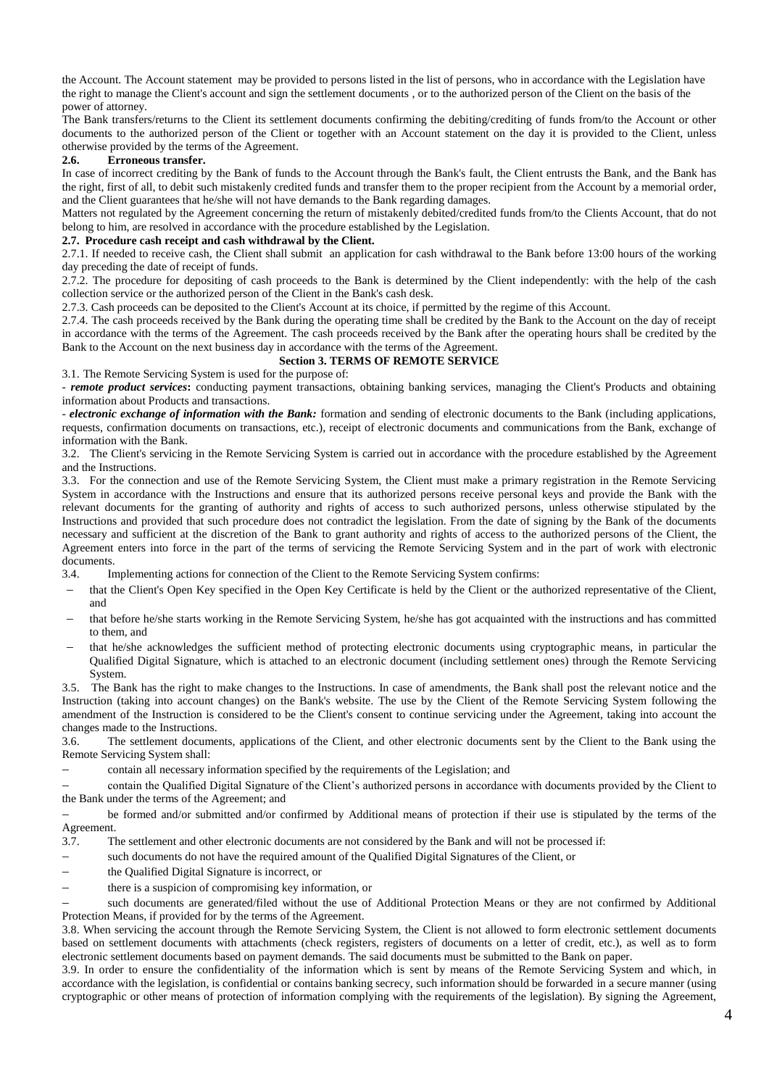the Account. The Account statement may be provided to persons listed in the list of persons, who in accordance with the Legislation have the right to manage the Client's account and sign the settlement documents , or to the authorized person of the Client on the basis of the power of attorney.

The Bank transfers/returns to the Client its settlement documents confirming the debiting/crediting of funds from/to the Account or other documents to the authorized person of the Client or together with an Account statement on the day it is provided to the Client, unless otherwise provided by the terms of the Agreement.

# **2.6. Erroneous transfer.**

In case of incorrect crediting by the Bank of funds to the Account through the Bank's fault, the Client entrusts the Bank, and the Bank has the right, first of all, to debit such mistakenly credited funds and transfer them to the proper recipient from the Account by a memorial order, and the Client guarantees that he/she will not have demands to the Bank regarding damages.

Matters not regulated by the Agreement concerning the return of mistakenly debited/credited funds from/to the Clients Account, that do not belong to him, are resolved in accordance with the procedure established by the Legislation.

## **2.7. Procedure cash receipt and cash withdrawal by the Client.**

2.7.1. If needed to receive cash, the Client shall submit an application for cash withdrawal to the Bank before 13:00 hours of the working day preceding the date of receipt of funds.

2.7.2. The procedure for depositing of cash proceeds to the Bank is determined by the Client independently: with the help of the cash collection service or the authorized person of the Client in the Bank's cash desk.

2.7.3. Cash proceeds can be deposited to the Client's Account at its choice, if permitted by the regime of this Account.

2.7.4. The cash proceeds received by the Bank during the operating time shall be credited by the Bank to the Account on the day of receipt in accordance with the terms of the Agreement. The cash proceeds received by the Bank after the operating hours shall be credited by the Bank to the Account on the next business day in accordance with the terms of the Agreement.

## **Section 3. TERMS OF REMOTE SERVICE**

3.1. The Remote Servicing System is used for the purpose of:

- *remote product services***:** conducting payment transactions, obtaining banking services, managing the Client's Products and obtaining information about Products and transactions.

- *electronic exchange of information with the Bank:* formation and sending of electronic documents to the Bank (including applications, requests, confirmation documents on transactions, etc.), receipt of electronic documents and communications from the Bank, exchange of information with the Bank.

3.2. The Client's servicing in the Remote Servicing System is carried out in accordance with the procedure established by the Agreement and the Instructions.

3.3. For the connection and use of the Remote Servicing System, the Client must make a primary registration in the Remote Servicing System in accordance with the Instructions and ensure that its authorized persons receive personal keys and provide the Bank with the relevant documents for the granting of authority and rights of access to such authorized persons, unless otherwise stipulated by the Instructions and provided that such procedure does not contradict the legislation. From the date of signing by the Bank of the documents necessary and sufficient at the discretion of the Bank to grant authority and rights of access to the authorized persons of the Client, the Agreement enters into force in the part of the terms of servicing the Remote Servicing System and in the part of work with electronic documents.

- 3.4. Implementing actions for connection of the Client to the Remote Servicing System confirms:
- that the Client's Open Key specified in the Open Key Certificate is held by the Client or the authorized representative of the Client, and
- that before he/she starts working in the Remote Servicing System, he/she has got acquainted with the instructions and has committed to them, and
- that he/she acknowledges the sufficient method of protecting electronic documents using cryptographic means, in particular the Qualified Digital Signature, which is attached to an electronic document (including settlement ones) through the Remote Servicing System.

3.5. The Bank has the right to make changes to the Instructions. In case of amendments, the Bank shall post the relevant notice and the Instruction (taking into account changes) on the Bank's website. The use by the Client of the Remote Servicing System following the amendment of the Instruction is considered to be the Client's consent to continue servicing under the Agreement, taking into account the changes made to the Instructions.

3.6. The settlement documents, applications of the Client, and other electronic documents sent by the Client to the Bank using the Remote Servicing System shall:

contain all necessary information specified by the requirements of the Legislation; and

 contain the Qualified Digital Signature of the Client's authorized persons in accordance with documents provided by the Client to the Bank under the terms of the Agreement; and

 be formed and/or submitted and/or confirmed by Additional means of protection if their use is stipulated by the terms of the Agreement.

- 3.7. The settlement and other electronic documents are not considered by the Bank and will not be processed if:
- such documents do not have the required amount of the Qualified Digital Signatures of the Client, or
- the Qualified Digital Signature is incorrect, or
- there is a suspicion of compromising key information, or

 such documents are generated/filed without the use of Additional Protection Means or they are not confirmed by Additional Protection Means, if provided for by the terms of the Agreement.

3.8. When servicing the account through the Remote Servicing System, the Client is not allowed to form electronic settlement documents based on settlement documents with attachments (check registers, registers of documents on a letter of credit, etc.), as well as to form electronic settlement documents based on payment demands. The said documents must be submitted to the Bank on paper.

3.9. In order to ensure the confidentiality of the information which is sent by means of the Remote Servicing System and which, in accordance with the legislation, is confidential or contains banking secrecy, such information should be forwarded in a secure manner (using cryptographic or other means of protection of information complying with the requirements of the legislation). By signing the Agreement,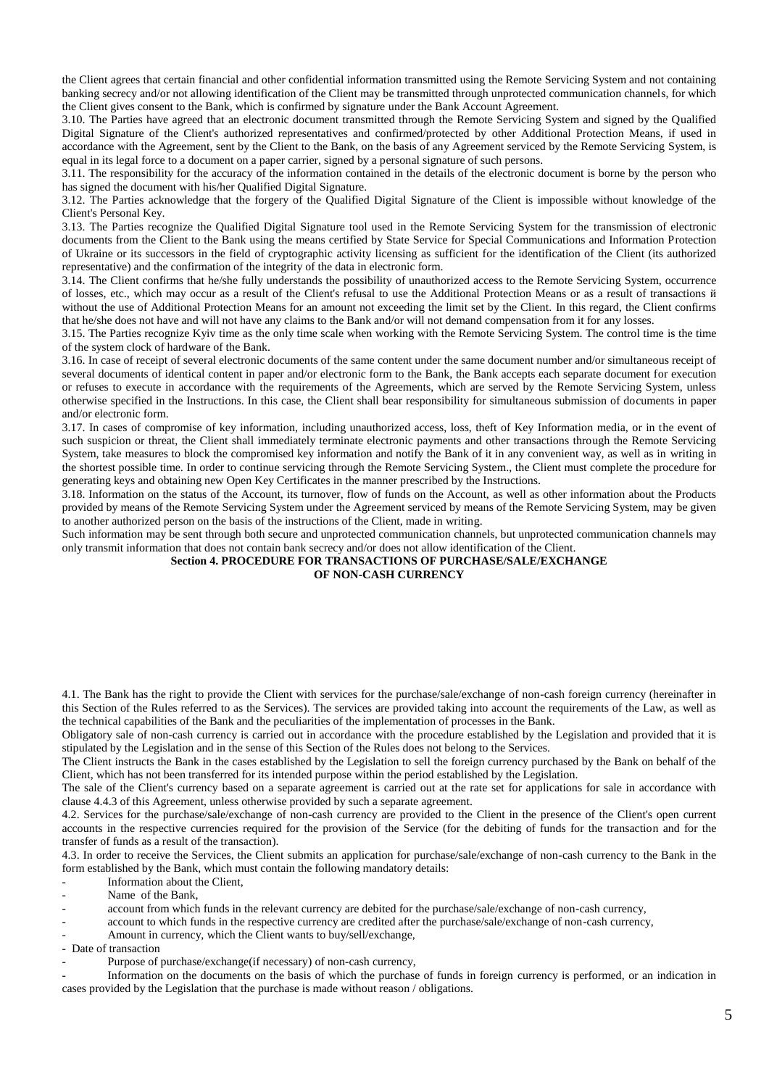the Client agrees that certain financial and other confidential information transmitted using the Remote Servicing System and not containing banking secrecy and/or not allowing identification of the Client may be transmitted through unprotected communication channels, for which the Client gives consent to the Bank, which is confirmed by signature under the Bank Account Agreement.

3.10. The Parties have agreed that an electronic document transmitted through the Remote Servicing System and signed by the Qualified Digital Signature of the Client's authorized representatives and confirmed/protected by other Additional Protection Means, if used in accordance with the Agreement, sent by the Client to the Bank, on the basis of any Agreement serviced by the Remote Servicing System, is equal in its legal force to a document on a paper carrier, signed by a personal signature of such persons.

3.11. The responsibility for the accuracy of the information contained in the details of the electronic document is borne by the person who has signed the document with his/her Qualified Digital Signature.

3.12. The Parties acknowledge that the forgery of the Qualified Digital Signature of the Client is impossible without knowledge of the Client's Personal Key.

3.13. The Parties recognize the Qualified Digital Signature tool used in the Remote Servicing System for the transmission of electronic documents from the Client to the Bank using the means certified by State Service for Special Communications and Information Protection of Ukraine or its successors in the field of cryptographic activity licensing as sufficient for the identification of the Client (its authorized representative) and the confirmation of the integrity of the data in electronic form.

3.14. The Client confirms that he/she fully understands the possibility of unauthorized access to the Remote Servicing System, occurrence of losses, etc., which may occur as a result of the Client's refusal to use the Additional Protection Means or as a result of transactions й without the use of Additional Protection Means for an amount not exceeding the limit set by the Client. In this regard, the Client confirms that he/she does not have and will not have any claims to the Bank and/or will not demand compensation from it for any losses.

3.15. The Parties recognize Kyiv time as the only time scale when working with the Remote Servicing System. The control time is the time of the system clock of hardware of the Bank.

3.16. In case of receipt of several electronic documents of the same content under the same document number and/or simultaneous receipt of several documents of identical content in paper and/or electronic form to the Bank, the Bank accepts each separate document for execution or refuses to execute in accordance with the requirements of the Agreements, which are served by the Remote Servicing System, unless otherwise specified in the Instructions. In this case, the Client shall bear responsibility for simultaneous submission of documents in paper and/or electronic form.

3.17. In cases of compromise of key information, including unauthorized access, loss, theft of Key Information media, or in the event of such suspicion or threat, the Client shall immediately terminate electronic payments and other transactions through the Remote Servicing System, take measures to block the compromised key information and notify the Bank of it in any convenient way, as well as in writing in the shortest possible time. In order to continue servicing through the Remote Servicing System., the Client must complete the procedure for generating keys and obtaining new Open Key Certificates in the manner prescribed by the Instructions.

3.18. Information on the status of the Account, its turnover, flow of funds on the Account, as well as other information about the Products provided by means of the Remote Servicing System under the Agreement serviced by means of the Remote Servicing System, may be given to another authorized person on the basis of the instructions of the Client, made in writing.

Such information may be sent through both secure and unprotected communication channels, but unprotected communication channels may only transmit information that does not contain bank secrecy and/or does not allow identification of the Client.

**Section 4. PROCEDURE FOR TRANSACTIONS OF PURCHASE/SALE/EXCHANGE** 

### **OF NON-CASH CURRENCY**

4.1. The Bank has the right to provide the Client with services for the purchase/sale/exchange of non-cash foreign currency (hereinafter in this Section of the Rules referred to as the Services). The services are provided taking into account the requirements of the Law, as well as the technical capabilities of the Bank and the peculiarities of the implementation of processes in the Bank.

Obligatory sale of non-cash currency is carried out in accordance with the procedure established by the Legislation and provided that it is stipulated by the Legislation and in the sense of this Section of the Rules does not belong to the Services.

The Client instructs the Bank in the cases established by the Legislation to sell the foreign currency purchased by the Bank on behalf of the Client, which has not been transferred for its intended purpose within the period established by the Legislation.

The sale of the Client's currency based on a separate agreement is carried out at the rate set for applications for sale in accordance with clause 4.4.3 of this Agreement, unless otherwise provided by such a separate agreement.

4.2. Services for the purchase/sale/exchange of non-cash currency are provided to the Client in the presence of the Client's open current accounts in the respective currencies required for the provision of the Service (for the debiting of funds for the transaction and for the transfer of funds as a result of the transaction).

4.3. In order to receive the Services, the Client submits an application for purchase/sale/exchange of non-cash currency to the Bank in the form established by the Bank, which must contain the following mandatory details:

Information about the Client.

Name of the Bank,

- account from which funds in the relevant currency are debited for the purchase/sale/exchange of non-cash currency,

- account to which funds in the respective currency are credited after the purchase/sale/exchange of non-cash currency,

Amount in currency, which the Client wants to buy/sell/exchange,

- Date of transaction

Purpose of purchase/exchange(if necessary) of non-cash currency,

- Information on the documents on the basis of which the purchase of funds in foreign currency is performed, or an indication in cases provided by the Legislation that the purchase is made without reason / obligations.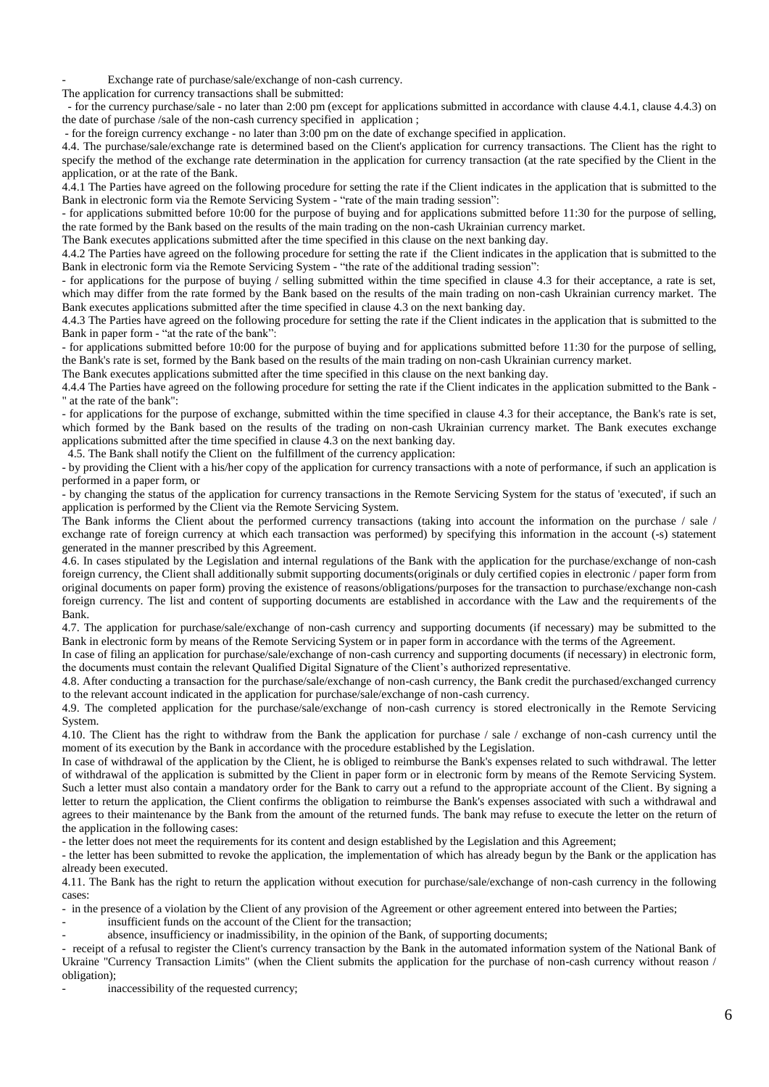Exchange rate of purchase/sale/exchange of non-cash currency.

The application for currency transactions shall be submitted:

 - for the currency purchase/sale - no later than 2:00 pm (except for applications submitted in accordance with clause 4.4.1, clause 4.4.3) on the date of purchase /sale of the non-cash currency specified in application ;

- for the foreign currency exchange - no later than 3:00 pm on the date of exchange specified in application.

4.4. The purchase/sale/exchange rate is determined based on the Client's application for currency transactions. The Client has the right to specify the method of the exchange rate determination in the application for currency transaction (at the rate specified by the Client in the application, or at the rate of the Bank.

4.4.1 The Parties have agreed on the following procedure for setting the rate if the Client indicates in the application that is submitted to the Bank in electronic form via the Remote Servicing System - "rate of the main trading session":

- for applications submitted before 10:00 for the purpose of buying and for applications submitted before 11:30 for the purpose of selling, the rate formed by the Bank based on the results of the main trading on the non-cash Ukrainian currency market.

The Bank executes applications submitted after the time specified in this clause on the next banking day.

4.4.2 The Parties have agreed on the following procedure for setting the rate if the Client indicates in the application that is submitted to the Bank in electronic form via the Remote Servicing System - "the rate of the additional trading session":

- for applications for the purpose of buying / selling submitted within the time specified in clause 4.3 for their acceptance, a rate is set, which may differ from the rate formed by the Bank based on the results of the main trading on non-cash Ukrainian currency market. The Bank executes applications submitted after the time specified in clause 4.3 on the next banking day.

4.4.3 The Parties have agreed on the following procedure for setting the rate if the Client indicates in the application that is submitted to the Bank in paper form - "at the rate of the bank":

- for applications submitted before 10:00 for the purpose of buying and for applications submitted before 11:30 for the purpose of selling, the Bank's rate is set, formed by the Bank based on the results of the main trading on non-cash Ukrainian currency market.

The Bank executes applications submitted after the time specified in this clause on the next banking day.

4.4.4 The Parties have agreed on the following procedure for setting the rate if the Client indicates in the application submitted to the Bank -" at the rate of the bank":

- for applications for the purpose of exchange, submitted within the time specified in clause 4.3 for their acceptance, the Bank's rate is set, which formed by the Bank based on the results of the trading on non-cash Ukrainian currency market. The Bank executes exchange applications submitted after the time specified in clause 4.3 on the next banking day.

4.5. The Bank shall notify the Client on the fulfillment of the currency application:

- by providing the Client with a his/her copy of the application for currency transactions with a note of performance, if such an application is performed in a paper form, or

- by changing the status of the application for currency transactions in the Remote Servicing System for the status of 'executed', if such an application is performed by the Client via the Remote Servicing System.

The Bank informs the Client about the performed currency transactions (taking into account the information on the purchase / sale / exchange rate of foreign currency at which each transaction was performed) by specifying this information in the account (-s) statement generated in the manner prescribed by this Agreement.

4.6. In cases stipulated by the Legislation and internal regulations of the Bank with the application for the purchase/exchange of non-cash foreign currency, the Client shall additionally submit supporting documents(originals or duly certified copies in electronic / paper form from original documents on paper form) proving the existence of reasons/obligations/purposes for the transaction to purchase/exchange non-cash foreign currency. The list and content of supporting documents are established in accordance with the Law and the requirements of the Bank.

4.7. The application for purchase/sale/exchange of non-cash currency and supporting documents (if necessary) may be submitted to the Bank in electronic form by means of the Remote Servicing System or in paper form in accordance with the terms of the Agreement.

In case of filing an application for purchase/sale/exchange of non-cash currency and supporting documents (if necessary) in electronic form, the documents must contain the relevant Qualified Digital Signature of the Client's authorized representative.

4.8. After conducting a transaction for the purchase/sale/exchange of non-cash currency, the Bank credit the purchased/exchanged currency to the relevant account indicated in the application for purchase/sale/exchange of non-cash currency.

4.9. The completed application for the purchase/sale/exchange of non-cash currency is stored electronically in the Remote Servicing System.

4.10. The Client has the right to withdraw from the Bank the application for purchase / sale / exchange of non-cash currency until the moment of its execution by the Bank in accordance with the procedure established by the Legislation.

In case of withdrawal of the application by the Client, he is obliged to reimburse the Bank's expenses related to such withdrawal. The letter of withdrawal of the application is submitted by the Client in paper form or in electronic form by means of the Remote Servicing System. Such a letter must also contain a mandatory order for the Bank to carry out a refund to the appropriate account of the Client. By signing a letter to return the application, the Client confirms the obligation to reimburse the Bank's expenses associated with such a withdrawal and agrees to their maintenance by the Bank from the amount of the returned funds. The bank may refuse to execute the letter on the return of the application in the following cases:

- the letter does not meet the requirements for its content and design established by the Legislation and this Agreement;

- the letter has been submitted to revoke the application, the implementation of which has already begun by the Bank or the application has already been executed.

4.11. The Bank has the right to return the application without execution for purchase/sale/exchange of non-cash currency in the following cases:

- in the presence of a violation by the Client of any provision of the Agreement or other agreement entered into between the Parties;

insufficient funds on the account of the Client for the transaction;

absence, insufficiency or inadmissibility, in the opinion of the Bank, of supporting documents;

- receipt of a refusal to register the Client's currency transaction by the Bank in the automated information system of the National Bank of Ukraine "Currency Transaction Limits" (when the Client submits the application for the purchase of non-cash currency without reason / obligation);

inaccessibility of the requested currency;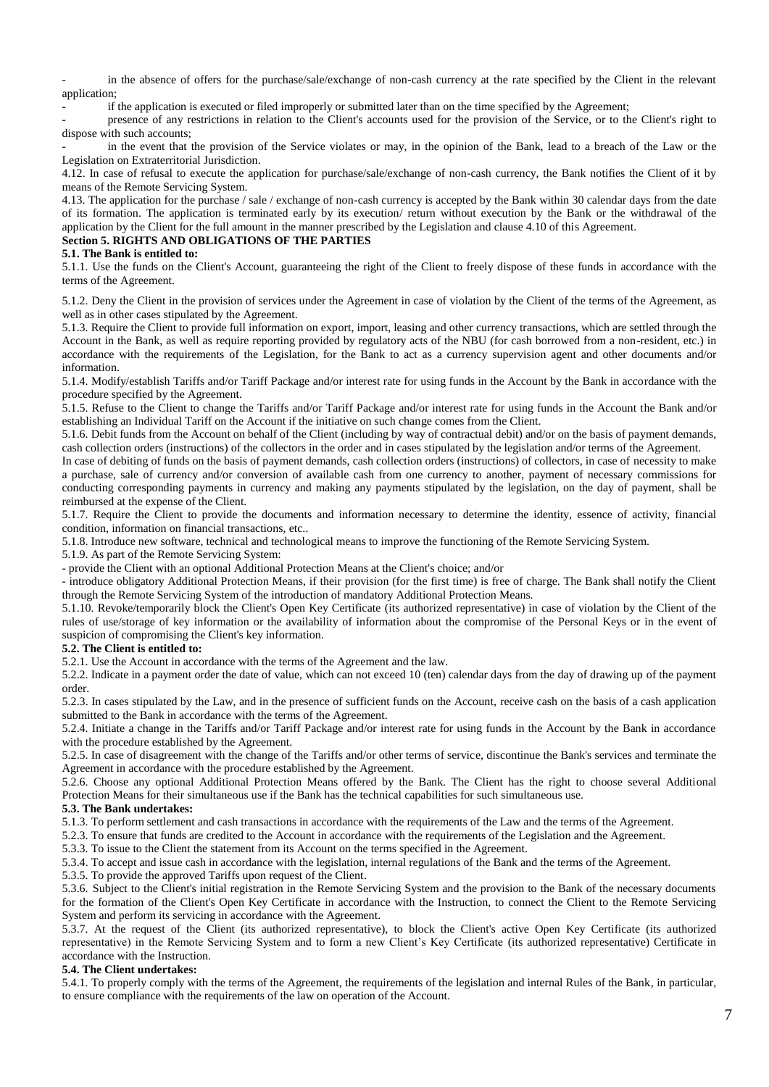in the absence of offers for the purchase/sale/exchange of non-cash currency at the rate specified by the Client in the relevant application;

if the application is executed or filed improperly or submitted later than on the time specified by the Agreement;

- presence of any restrictions in relation to the Client's accounts used for the provision of the Service, or to the Client's right to dispose with such accounts;

in the event that the provision of the Service violates or may, in the opinion of the Bank, lead to a breach of the Law or the Legislation on Extraterritorial Jurisdiction.

4.12. In case of refusal to execute the application for purchase/sale/exchange of non-cash currency, the Bank notifies the Client of it by means of the Remote Servicing System.

4.13. The application for the purchase / sale / exchange of non-cash currency is accepted by the Bank within 30 calendar days from the date of its formation. The application is terminated early by its execution/ return without execution by the Bank or the withdrawal of the application by the Client for the full amount in the manner prescribed by the Legislation and clause 4.10 of this Agreement.

# **Section 5. RIGHTS AND OBLIGATIONS OF THE PARTIES**

# **5.1. The Bank is entitled to:**

5.1.1. Use the funds on the Client's Account, guaranteeing the right of the Client to freely dispose of these funds in accordance with the terms of the Agreement.

5.1.2. Deny the Client in the provision of services under the Agreement in case of violation by the Client of the terms of the Agreement, as well as in other cases stipulated by the Agreement.

5.1.3. Require the Client to provide full information on export, import, leasing and other currency transactions, which are settled through the Account in the Bank, as well as require reporting provided by regulatory acts of the NBU (for cash borrowed from a non-resident, etc.) in accordance with the requirements of the Legislation, for the Bank to act as a currency supervision agent and other documents and/or information.

5.1.4. Modify/establish Tariffs and/or Tariff Package and/or interest rate for using funds in the Account by the Bank in accordance with the procedure specified by the Agreement.

5.1.5. Refuse to the Client to change the Tariffs and/or Tariff Package and/or interest rate for using funds in the Account the Bank and/or establishing an Individual Tariff on the Account if the initiative on such change comes from the Client.

5.1.6. Debit funds from the Account on behalf of the Client (including by way of contractual debit) and/or on the basis of payment demands, cash collection orders (instructions) of the collectors in the order and in cases stipulated by the legislation and/or terms of the Agreement.

In case of debiting of funds on the basis of payment demands, cash collection orders (instructions) of collectors, in case of necessity to make a purchase, sale of currency and/or conversion of available cash from one currency to another, payment of necessary commissions for conducting corresponding payments in currency and making any payments stipulated by the legislation, on the day of payment, shall be reimbursed at the expense of the Client.

5.1.7. Require the Client to provide the documents and information necessary to determine the identity, essence of activity, financial condition, information on financial transactions, etc..

5.1.8. Introduce new software, technical and technological means to improve the functioning of the Remote Servicing System.

5.1.9. As part of the Remote Servicing System:

- provide the Client with an optional Additional Protection Means at the Client's choice; and/or

- introduce obligatory Additional Protection Means, if their provision (for the first time) is free of charge. The Bank shall notify the Client through the Remote Servicing System of the introduction of mandatory Additional Protection Means.

5.1.10. Revoke/temporarily block the Client's Open Key Certificate (its authorized representative) in case of violation by the Client of the rules of use/storage of key information or the availability of information about the compromise of the Personal Keys or in the event of suspicion of compromising the Client's key information.

# **5.2. The Client is entitled to:**

5.2.1. Use the Account in accordance with the terms of the Agreement and the law.

5.2.2. Indicate in a payment order the date of value, which can not exceed 10 (ten) calendar days from the day of drawing up of the payment order.

5.2.3. In cases stipulated by the Law, and in the presence of sufficient funds on the Account, receive cash on the basis of a cash application submitted to the Bank in accordance with the terms of the Agreement.

5.2.4. Initiate a change in the Tariffs and/or Tariff Package and/or interest rate for using funds in the Account by the Bank in accordance with the procedure established by the Agreement.

5.2.5. In case of disagreement with the change of the Tariffs and/or other terms of service, discontinue the Bank's services and terminate the Agreement in accordance with the procedure established by the Agreement.

5.2.6. Choose any optional Additional Protection Means offered by the Bank. The Client has the right to choose several Additional Protection Means for their simultaneous use if the Bank has the technical capabilities for such simultaneous use.

## **5.3. The Bank undertakes:**

5.1.3. To perform settlement and cash transactions in accordance with the requirements of the Law and the terms of the Agreement.

5.2.3. To ensure that funds are credited to the Account in accordance with the requirements of the Legislation and the Agreement.

5.3.3. To issue to the Client the statement from its Account on the terms specified in the Agreement.

5.3.4. To accept and issue cash in accordance with the legislation, internal regulations of the Bank and the terms of the Agreement.

5.3.5. To provide the approved Tariffs upon request of the Client.

5.3.6. Subject to the Client's initial registration in the Remote Servicing System and the provision to the Bank of the necessary documents for the formation of the Client's Open Key Certificate in accordance with the Instruction, to connect the Client to the Remote Servicing System and perform its servicing in accordance with the Agreement.

5.3.7. At the request of the Client (its authorized representative), to block the Client's active Open Key Certificate (its authorized representative) in the Remote Servicing System and to form a new Client's Key Certificate (its authorized representative) Certificate in accordance with the Instruction.

## **5.4. The Client undertakes:**

5.4.1. To properly comply with the terms of the Agreement, the requirements of the legislation and internal Rules of the Bank, in particular, to ensure compliance with the requirements of the law on operation of the Account.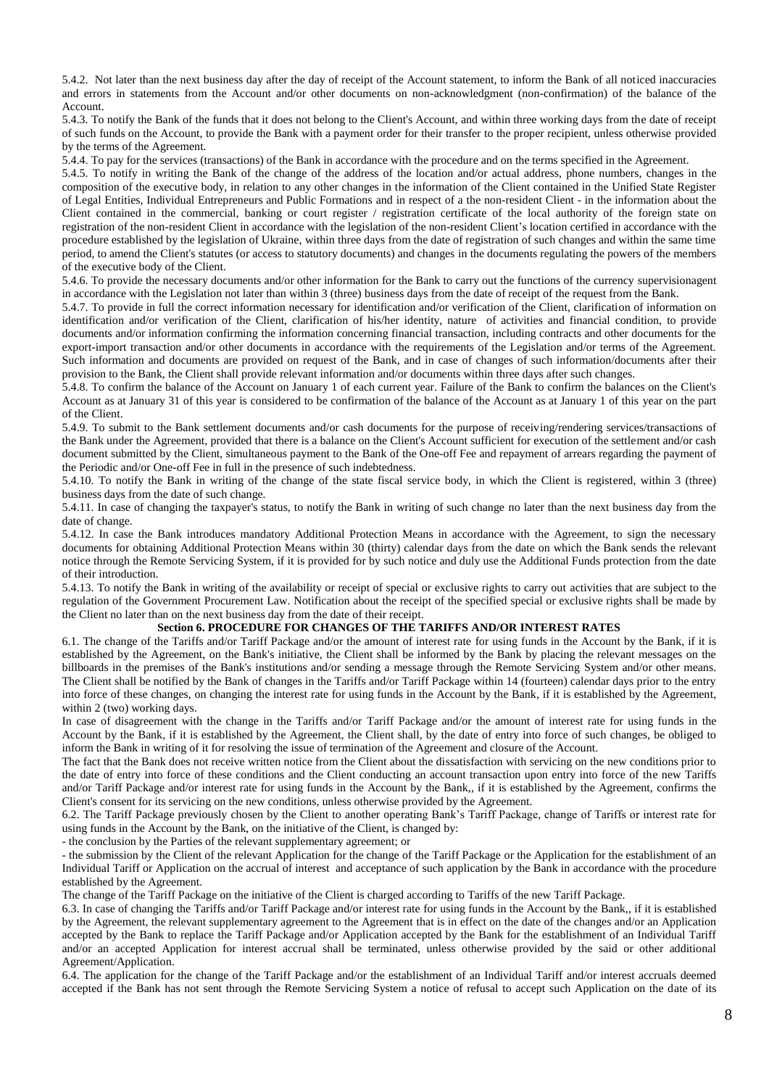5.4.2. Not later than the next business day after the day of receipt of the Account statement, to inform the Bank of all noticed inaccuracies and errors in statements from the Account and/or other documents on non-acknowledgment (non-confirmation) of the balance of the Account.

5.4.3. To notify the Bank of the funds that it does not belong to the Client's Account, and within three working days from the date of receipt of such funds on the Account, to provide the Bank with a payment order for their transfer to the proper recipient, unless otherwise provided by the terms of the Agreement.

5.4.4. To pay for the services (transactions) of the Bank in accordance with the procedure and on the terms specified in the Agreement.

5.4.5. To notify in writing the Bank of the change of the address of the location and/or actual address, phone numbers, changes in the composition of the executive body, in relation to any other changes in the information of the Client contained in the Unified State Register of Legal Entities, Individual Entrepreneurs and Public Formations and in respect of a the non-resident Client - in the information about the Client contained in the commercial, banking or court register / registration certificate of the local authority of the foreign state on registration of the non-resident Client in accordance with the legislation of the non-resident Client's location certified in accordance with the procedure established by the legislation of Ukraine, within three days from the date of registration of such changes and within the same time period, to amend the Client's statutes (or access to statutory documents) and changes in the documents regulating the powers of the members of the executive body of the Client.

5.4.6. To provide the necessary documents and/or other information for the Bank to carry out the functions of the currency supervisionagent in accordance with the Legislation not later than within 3 (three) business days from the date of receipt of the request from the Bank.

5.4.7. To provide in full the correct information necessary for identification and/or verification of the Client, clarification of information on identification and/or verification of the Client, clarification of his/her identity, nature of activities and financial condition, to provide documents and/or information confirming the information concerning financial transaction, including contracts and other documents for the export-import transaction and/or other documents in accordance with the requirements of the Legislation and/or terms of the Agreement. Such information and documents are provided on request of the Bank, and in case of changes of such information/documents after their provision to the Bank, the Client shall provide relevant information and/or documents within three days after such changes.

5.4.8. To confirm the balance of the Account on January 1 of each current year. Failure of the Bank to confirm the balances on the Client's Account as at January 31 of this year is considered to be confirmation of the balance of the Account as at January 1 of this year on the part of the Client.

5.4.9. To submit to the Bank settlement documents and/or cash documents for the purpose of receiving/rendering services/transactions of the Bank under the Agreement, provided that there is a balance on the Client's Account sufficient for execution of the settlement and/or cash document submitted by the Client, simultaneous payment to the Bank of the One-off Fee and repayment of arrears regarding the payment of the Periodic and/or One-off Fee in full in the presence of such indebtedness.

5.4.10. To notify the Bank in writing of the change of the state fiscal service body, in which the Client is registered, within 3 (three) business days from the date of such change.

5.4.11. In case of changing the taxpayer's status, to notify the Bank in writing of such change no later than the next business day from the date of change.

5.4.12. In case the Bank introduces mandatory Additional Protection Means in accordance with the Agreement, to sign the necessary documents for obtaining Additional Protection Means within 30 (thirty) calendar days from the date on which the Bank sends the relevant notice through the Remote Servicing System, if it is provided for by such notice and duly use the Additional Funds protection from the date of their introduction.

5.4.13. To notify the Bank in writing of the availability or receipt of special or exclusive rights to carry out activities that are subject to the regulation of the Government Procurement Law. Notification about the receipt of the specified special or exclusive rights shall be made by the Client no later than on the next business day from the date of their receipt.

# **Section 6. PROCEDURE FOR CHANGES OF THE TARIFFS AND/OR INTEREST RATES**

6.1. The change of the Tariffs and/or Tariff Package and/or the amount of interest rate for using funds in the Account by the Bank, if it is established by the Agreement, on the Bank's initiative, the Client shall be informed by the Bank by placing the relevant messages on the billboards in the premises of the Bank's institutions and/or sending a message through the Remote Servicing System and/or other means. The Client shall be notified by the Bank of changes in the Tariffs and/or Tariff Package within 14 (fourteen) calendar days prior to the entry into force of these changes, on changing the interest rate for using funds in the Account by the Bank, if it is established by the Agreement, within 2 (two) working days.

In case of disagreement with the change in the Tariffs and/or Tariff Package and/or the amount of interest rate for using funds in the Account by the Bank, if it is established by the Agreement, the Client shall, by the date of entry into force of such changes, be obliged to inform the Bank in writing of it for resolving the issue of termination of the Agreement and closure of the Account.

The fact that the Bank does not receive written notice from the Client about the dissatisfaction with servicing on the new conditions prior to the date of entry into force of these conditions and the Client conducting an account transaction upon entry into force of the new Tariffs and/or Tariff Package and/or interest rate for using funds in the Account by the Bank,, if it is established by the Agreement, confirms the Client's consent for its servicing on the new conditions, unless otherwise provided by the Agreement.

6.2. The Tariff Package previously chosen by the Client to another operating Bank's Tariff Package, change of Tariffs or interest rate for using funds in the Account by the Bank, on the initiative of the Client, is changed by:

- the conclusion by the Parties of the relevant supplementary agreement; or

- the submission by the Client of the relevant Application for the change of the Tariff Package or the Application for the establishment of an Individual Tariff or Application on the accrual of interest and acceptance of such application by the Bank in accordance with the procedure established by the Agreement.

The change of the Tariff Package on the initiative of the Client is charged according to Tariffs of the new Tariff Package.

6.3. In case of changing the Tariffs and/or Tariff Package and/or interest rate for using funds in the Account by the Bank,, if it is established by the Agreement, the relevant supplementary agreement to the Agreement that is in effect on the date of the changes and/or an Application accepted by the Bank to replace the Tariff Package and/or Application accepted by the Bank for the establishment of an Individual Tariff and/or an accepted Application for interest accrual shall be terminated, unless otherwise provided by the said or other additional Agreement/Application.

6.4. The application for the change of the Tariff Package and/or the establishment of an Individual Tariff and/or interest accruals deemed accepted if the Bank has not sent through the Remote Servicing System a notice of refusal to accept such Application on the date of its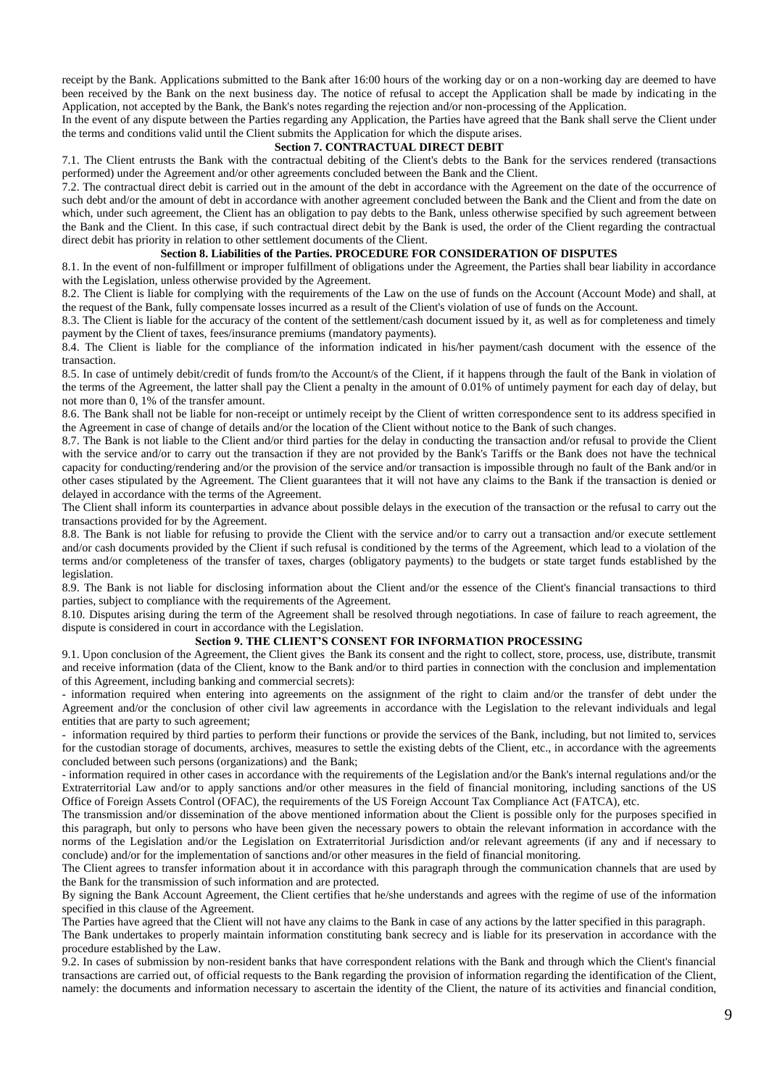receipt by the Bank. Applications submitted to the Bank after 16:00 hours of the working day or on a non-working day are deemed to have been received by the Bank on the next business day. The notice of refusal to accept the Application shall be made by indicating in the Application, not accepted by the Bank, the Bank's notes regarding the rejection and/or non-processing of the Application.

In the event of any dispute between the Parties regarding any Application, the Parties have agreed that the Bank shall serve the Client under the terms and conditions valid until the Client submits the Application for which the dispute arises.

#### **Section 7. CONTRACTUAL DIRECT DEBIT**

7.1. The Client entrusts the Bank with the contractual debiting of the Client's debts to the Bank for the services rendered (transactions performed) under the Agreement and/or other agreements concluded between the Bank and the Client.

7.2. The contractual direct debit is carried out in the amount of the debt in accordance with the Agreement on the date of the occurrence of such debt and/or the amount of debt in accordance with another agreement concluded between the Bank and the Client and from the date on which, under such agreement, the Client has an obligation to pay debts to the Bank, unless otherwise specified by such agreement between the Bank and the Client. In this case, if such contractual direct debit by the Bank is used, the order of the Client regarding the contractual direct debit has priority in relation to other settlement documents of the Client.

### **Section 8. Liabilities of the Parties. PROCEDURE FOR CONSIDERATION OF DISPUTES**

8.1. In the event of non-fulfillment or improper fulfillment of obligations under the Agreement, the Parties shall bear liability in accordance with the Legislation, unless otherwise provided by the Agreement.

8.2. The Client is liable for complying with the requirements of the Law on the use of funds on the Account (Account Mode) and shall, at the request of the Bank, fully compensate losses incurred as a result of the Client's violation of use of funds on the Account.

8.3. The Client is liable for the accuracy of the content of the settlement/cash document issued by it, as well as for completeness and timely payment by the Client of taxes, fees/insurance premiums (mandatory payments).

8.4. The Client is liable for the compliance of the information indicated in his/her payment/cash document with the essence of the transaction.

8.5. In case of untimely debit/credit of funds from/to the Account/s of the Client, if it happens through the fault of the Bank in violation of the terms of the Agreement, the latter shall pay the Client a penalty in the amount of 0.01% of untimely payment for each day of delay, but not more than 0, 1% of the transfer amount.

8.6. The Bank shall not be liable for non-receipt or untimely receipt by the Client of written correspondence sent to its address specified in the Agreement in case of change of details and/or the location of the Client without notice to the Bank of such changes.

8.7. The Bank is not liable to the Client and/or third parties for the delay in conducting the transaction and/or refusal to provide the Client with the service and/or to carry out the transaction if they are not provided by the Bank's Tariffs or the Bank does not have the technical capacity for conducting/rendering and/or the provision of the service and/or transaction is impossible through no fault of the Bank and/or in other cases stipulated by the Agreement. The Client guarantees that it will not have any claims to the Bank if the transaction is denied or delayed in accordance with the terms of the Agreement.

The Client shall inform its counterparties in advance about possible delays in the execution of the transaction or the refusal to carry out the transactions provided for by the Agreement.

8.8. The Bank is not liable for refusing to provide the Client with the service and/or to carry out a transaction and/or execute settlement and/or cash documents provided by the Client if such refusal is conditioned by the terms of the Agreement, which lead to a violation of the terms and/or completeness of the transfer of taxes, charges (obligatory payments) to the budgets or state target funds established by the legislation.

8.9. The Bank is not liable for disclosing information about the Client and/or the essence of the Client's financial transactions to third parties, subject to compliance with the requirements of the Agreement.

8.10. Disputes arising during the term of the Agreement shall be resolved through negotiations. In case of failure to reach agreement, the dispute is considered in court in accordance with the Legislation.

### **Section 9. THE CLIENT'S CONSENT FOR INFORMATION PROCESSING**

9.1. Upon conclusion of the Agreement, the Client gives the Bank its consent and the right to collect, store, process, use, distribute, transmit and receive information (data of the Client, know to the Bank and/or to third parties in connection with the conclusion and implementation of this Agreement, including banking and commercial secrets):

- information required when entering into agreements on the assignment of the right to claim and/or the transfer of debt under the Agreement and/or the conclusion of other civil law agreements in accordance with the Legislation to the relevant individuals and legal entities that are party to such agreement;

- information required by third parties to perform their functions or provide the services of the Bank, including, but not limited to, services for the custodian storage of documents, archives, measures to settle the existing debts of the Client, etc., in accordance with the agreements concluded between such persons (organizations) and the Bank;

- information required in other cases in accordance with the requirements of the Legislation and/or the Bank's internal regulations and/or the Extraterritorial Law and/or to apply sanctions and/or other measures in the field of financial monitoring, including sanctions of the US Office of Foreign Assets Control (OFAC), the requirements of the US Foreign Account Tax Compliance Act (FATCA), etc.

The transmission and/or dissemination of the above mentioned information about the Client is possible only for the purposes specified in this paragraph, but only to persons who have been given the necessary powers to obtain the relevant information in accordance with the norms of the Legislation and/or the Legislation on Extraterritorial Jurisdiction and/or relevant agreements (if any and if necessary to conclude) and/or for the implementation of sanctions and/or other measures in the field of financial monitoring.

The Client agrees to transfer information about it in accordance with this paragraph through the communication channels that are used by the Bank for the transmission of such information and are protected.

By signing the Bank Account Agreement, the Client certifies that he/she understands and agrees with the regime of use of the information specified in this clause of the Agreement.

The Parties have agreed that the Client will not have any claims to the Bank in case of any actions by the latter specified in this paragraph.

The Bank undertakes to properly maintain information constituting bank secrecy and is liable for its preservation in accordance with the procedure established by the Law.

9.2. In cases of submission by non-resident banks that have correspondent relations with the Bank and through which the Client's financial transactions are carried out, of official requests to the Bank regarding the provision of information regarding the identification of the Client, namely: the documents and information necessary to ascertain the identity of the Client, the nature of its activities and financial condition,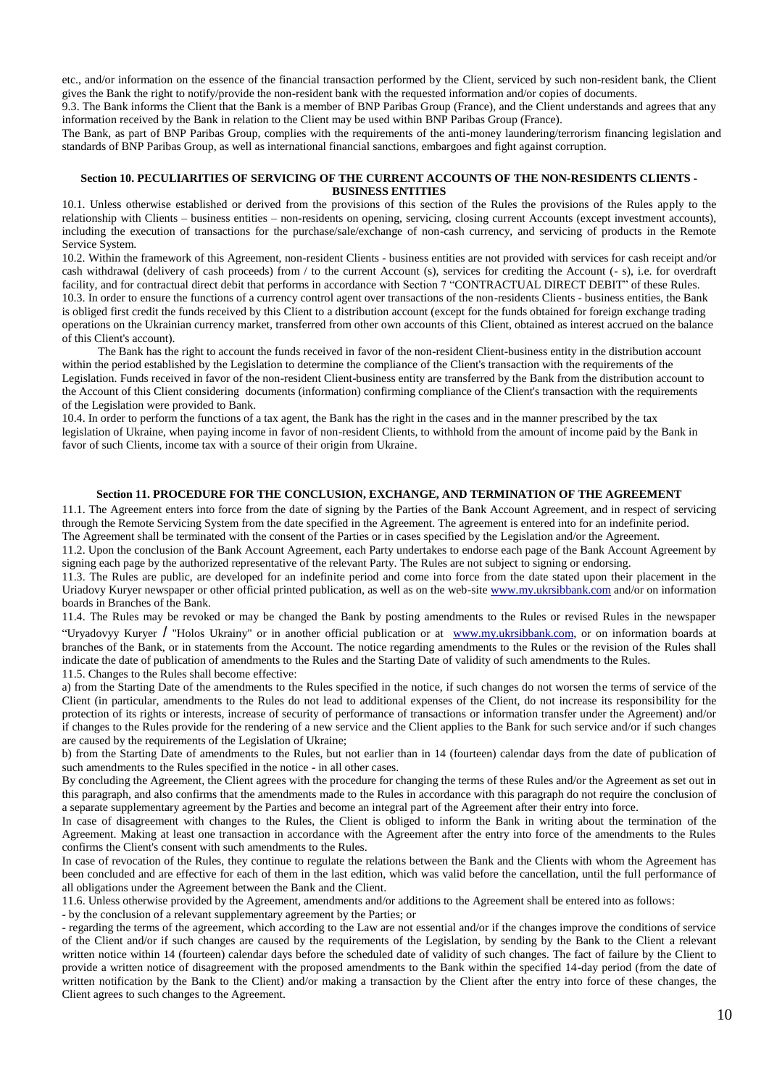etc., and/or information on the essence of the financial transaction performed by the Client, serviced by such non-resident bank, the Client gives the Bank the right to notify/provide the non-resident bank with the requested information and/or copies of documents.

9.3. The Bank informs the Client that the Bank is a member of BNP Paribas Group (France), and the Client understands and agrees that any information received by the Bank in relation to the Client may be used within BNP Paribas Group (France).

The Bank, as part of BNP Paribas Group, complies with the requirements of the anti-money laundering/terrorism financing legislation and standards of BNP Paribas Group, as well as international financial sanctions, embargoes and fight against corruption.

### **Section 10. PECULIARITIES OF SERVICING OF THE CURRENT ACCOUNTS OF THE NON-RESIDENTS CLIENTS - BUSINESS ENTITIES**

10.1. Unless otherwise established or derived from the provisions of this section of the Rules the provisions of the Rules apply to the relationship with Clients – business entities – non-residents on opening, servicing, closing current Accounts (except investment accounts), including the execution of transactions for the purchase/sale/exchange of non-cash currency, and servicing of products in the Remote Service System.

10.2. Within the framework of this Agreement, non-resident Clients - business entities are not provided with services for cash receipt and/or cash withdrawal (delivery of cash proceeds) from / to the current Account (s), services for crediting the Account (- s), i.e. for overdraft facility, and for contractual direct debit that performs in accordance with Section 7 "CONTRACTUAL DIRECT DEBIT" of these Rules. 10.3. In order to ensure the functions of a currency control agent over transactions of the non-residents Clients - business entities, the Bank is obliged first credit the funds received by this Client to a distribution account (except for the funds obtained for foreign exchange trading operations on the Ukrainian currency market, transferred from other own accounts of this Client, obtained as interest accrued on the balance of this Client's account).

The Bank has the right to account the funds received in favor of the non-resident Client-business entity in the distribution account within the period established by the Legislation to determine the compliance of the Client's transaction with the requirements of the Legislation. Funds received in favor of the non-resident Client-business entity are transferred by the Bank from the distribution account to the Account of this Client considering documents (information) confirming compliance of the Client's transaction with the requirements of the Legislation were provided to Bank.

10.4. In order to perform the functions of a tax agent, the Bank has the right in the cases and in the manner prescribed by the tax legislation of Ukraine, when paying income in favor of non-resident Clients, to withhold from the amount of income paid by the Bank in favor of such Clients, income tax with a source of their origin from Ukraine.

### **Section 11. PROCEDURE FOR THE CONCLUSION, EXCHANGE, AND TERMINATION OF THE AGREEMENT**

11.1. The Agreement enters into force from the date of signing by the Parties of the Bank Account Agreement, and in respect of servicing through the Remote Servicing System from the date specified in the Agreement. The agreement is entered into for an indefinite period. The Agreement shall be terminated with the consent of the Parties or in cases specified by the Legislation and/or the Agreement.

11.2. Upon the conclusion of the Bank Account Agreement, each Party undertakes to endorse each page of the Bank Account Agreement by signing each page by the authorized representative of the relevant Party. The Rules are not subject to signing or endorsing.

11.3. The Rules are public, are developed for an indefinite period and come into force from the date stated upon their placement in the Uriadovy Kuryer newspaper or other official printed publication, as well as on the web-site [www.my.ukrsibbank.com](http://www.my.ukrsibbank.com/) and/or on information boards in Branches of the Bank.

11.4. The Rules may be revoked or may be changed the Bank by posting amendments to the Rules or revised Rules in the newspaper "Uryadovyy Kuryer / "Holos Ukrainy" or in another official publication or at [www.my.ukrsibbank.com,](http://www.my.ukrsibbank.com./) or on information boards at branches of the Bank, or in statements from the Account. The notice regarding amendments to the Rules or the revision of the Rules shall indicate the date of publication of amendments to the Rules and the Starting Date of validity of such amendments to the Rules. 11.5. Changes to the Rules shall become effective:

a) from the Starting Date of the amendments to the Rules specified in the notice, if such changes do not worsen the terms of service of the Client (in particular, amendments to the Rules do not lead to additional expenses of the Client, do not increase its responsibility for the protection of its rights or interests, increase of security of performance of transactions or information transfer under the Agreement) and/or if changes to the Rules provide for the rendering of a new service and the Client applies to the Bank for such service and/or if such changes are caused by the requirements of the Legislation of Ukraine;

b) from the Starting Date of amendments to the Rules, but not earlier than in 14 (fourteen) calendar days from the date of publication of such amendments to the Rules specified in the notice - in all other cases.

By concluding the Agreement, the Client agrees with the procedure for changing the terms of these Rules and/or the Agreement as set out in this paragraph, and also confirms that the amendments made to the Rules in accordance with this paragraph do not require the conclusion of a separate supplementary agreement by the Parties and become an integral part of the Agreement after their entry into force.

In case of disagreement with changes to the Rules, the Client is obliged to inform the Bank in writing about the termination of the Agreement. Making at least one transaction in accordance with the Agreement after the entry into force of the amendments to the Rules confirms the Client's consent with such amendments to the Rules.

In case of revocation of the Rules, they continue to regulate the relations between the Bank and the Clients with whom the Agreement has been concluded and are effective for each of them in the last edition, which was valid before the cancellation, until the full performance of all obligations under the Agreement between the Bank and the Client.

11.6. Unless otherwise provided by the Agreement, amendments and/or additions to the Agreement shall be entered into as follows:

- by the conclusion of a relevant supplementary agreement by the Parties; or

- regarding the terms of the agreement, which according to the Law are not essential and/or if the changes improve the conditions of service of the Client and/or if such changes are caused by the requirements of the Legislation, by sending by the Bank to the Client a relevant written notice within 14 (fourteen) calendar days before the scheduled date of validity of such changes. The fact of failure by the Client to provide a written notice of disagreement with the proposed amendments to the Bank within the specified 14-day period (from the date of written notification by the Bank to the Client) and/or making a transaction by the Client after the entry into force of these changes, the Client agrees to such changes to the Agreement.